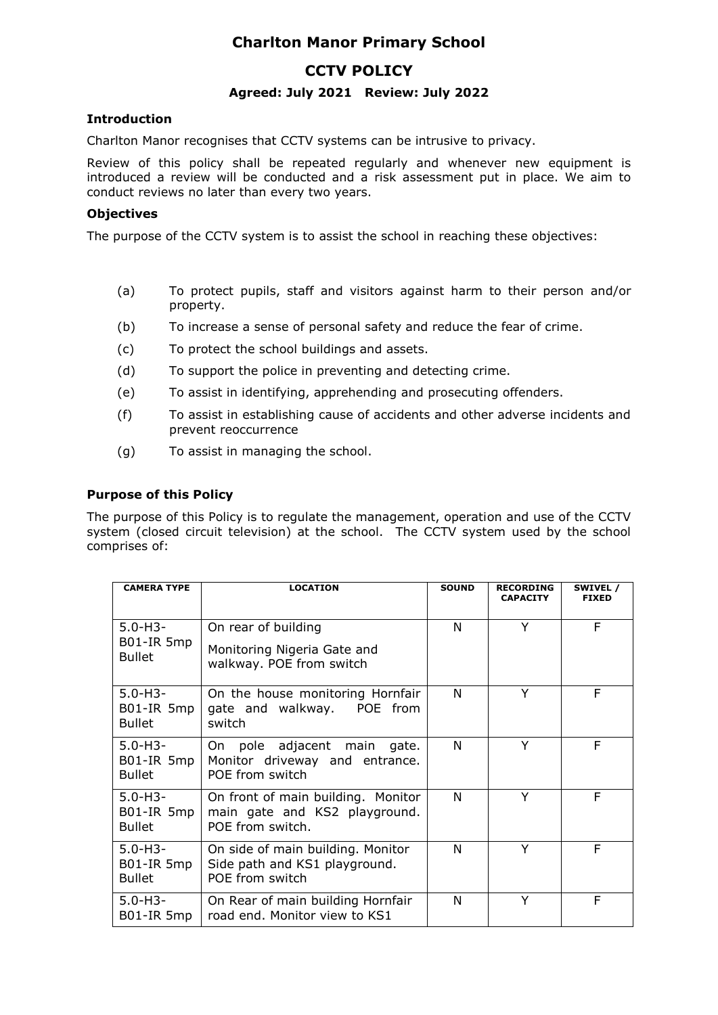# **Charlton Manor Primary School**

## **CCTV POLICY**

## **Agreed: July 2021 Review: July 2022**

## **Introduction**

Charlton Manor recognises that CCTV systems can be intrusive to privacy.

Review of this policy shall be repeated regularly and whenever new equipment is introduced a review will be conducted and a risk assessment put in place. We aim to conduct reviews no later than every two years.

### **Objectives**

The purpose of the CCTV system is to assist the school in reaching these objectives:

- (a) To protect pupils, staff and visitors against harm to their person and/or property.
- (b) To increase a sense of personal safety and reduce the fear of crime.
- (c) To protect the school buildings and assets.
- (d) To support the police in preventing and detecting crime.
- (e) To assist in identifying, apprehending and prosecuting offenders.
- (f) To assist in establishing cause of accidents and other adverse incidents and prevent reoccurrence
- (g) To assist in managing the school.

## **Purpose of this Policy**

The purpose of this Policy is to regulate the management, operation and use of the CCTV system (closed circuit television) at the school. The CCTV system used by the school comprises of:

| <b>CAMERA TYPE</b>                          | <b>LOCATION</b>                                                                         | <b>SOUND</b> | <b>RECORDING</b><br><b>CAPACITY</b> | SWIVEL /<br><b>FIXED</b> |
|---------------------------------------------|-----------------------------------------------------------------------------------------|--------------|-------------------------------------|--------------------------|
| $5.0 - H3 -$<br>B01-IR 5mp<br><b>Bullet</b> | On rear of building<br>Monitoring Nigeria Gate and<br>walkway. POE from switch          | N            | Y                                   | F                        |
| $5.0 - H3 -$<br>B01-IR 5mp<br><b>Bullet</b> | On the house monitoring Hornfair<br>gate and walkway. POE from<br>switch                | N            | Y                                   | F                        |
| $5.0 - H3 -$<br>B01-IR 5mp<br><b>Bullet</b> | On pole adjacent main<br>gate.<br>Monitor driveway and entrance.<br>POE from switch     | N            | Υ                                   | F                        |
| $5.0 - H3 -$<br>B01-IR 5mp<br><b>Bullet</b> | On front of main building. Monitor<br>main gate and KS2 playground.<br>POE from switch. | N            | Y                                   | F                        |
| $5.0 - H3 -$<br>B01-IR 5mp<br><b>Bullet</b> | On side of main building. Monitor<br>Side path and KS1 playground.<br>POE from switch   | N            | Y                                   | F                        |
| $5.0 - H3 -$<br>B01-IR 5mp                  | On Rear of main building Hornfair<br>road end. Monitor view to KS1                      | N            | Υ                                   | F                        |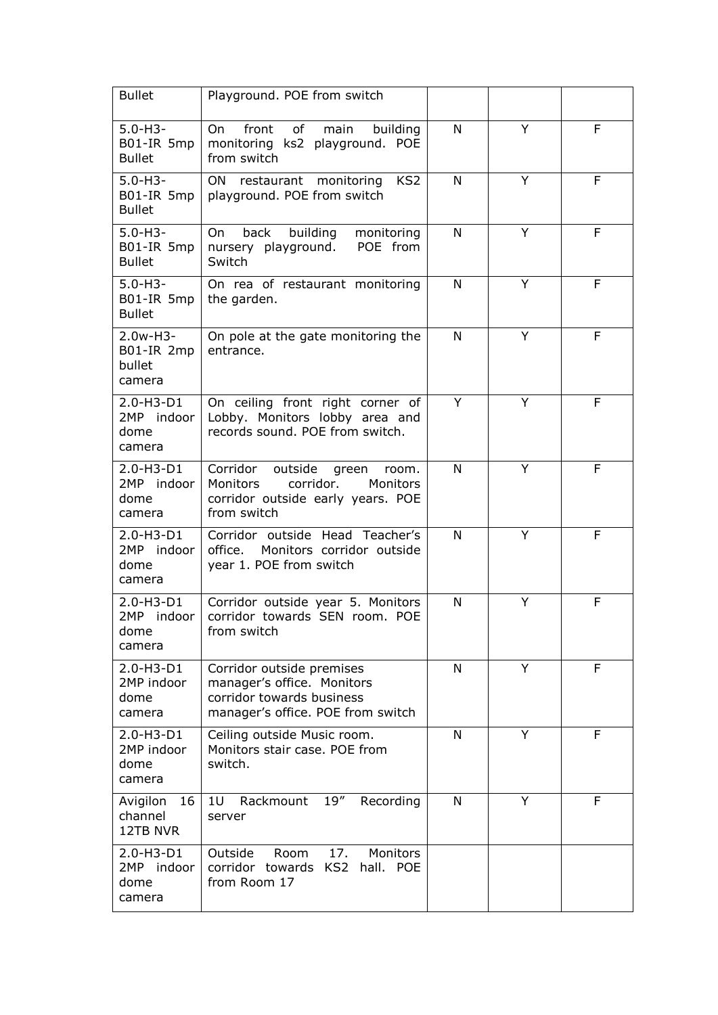| <b>Bullet</b>                                   | Playground. POE from switch                                                                                                        |   |   |   |
|-------------------------------------------------|------------------------------------------------------------------------------------------------------------------------------------|---|---|---|
| $5.0 - H3 -$<br>B01-IR 5mp<br><b>Bullet</b>     | front<br>of<br>main<br>building<br>On.<br>monitoring ks2 playground. POE<br>from switch                                            | N | Y | F |
| $5.0 - H3 -$<br>B01-IR 5mp<br><b>Bullet</b>     | restaurant monitoring<br>KS <sub>2</sub><br>ON.<br>playground. POE from switch                                                     | N | Y | F |
| $5.0 - H3 -$<br>B01-IR 5mp<br><b>Bullet</b>     | building<br>back<br>monitoring<br>On<br>POE from<br>nursery playground.<br>Switch                                                  | N | Y | F |
| $5.0 - H3 -$<br>B01-IR 5mp<br><b>Bullet</b>     | On rea of restaurant monitoring<br>the garden.                                                                                     | N | Y | F |
| $2.0w-H3-$<br>B01-IR 2mp<br>bullet<br>camera    | On pole at the gate monitoring the<br>entrance.                                                                                    | N | Y | F |
| 2.0-H3-D1<br>2MP indoor<br>dome<br>camera       | On ceiling front right corner of<br>Lobby. Monitors lobby area and<br>records sound. POE from switch.                              | Y | Y | F |
| $2.0 - H3 - D1$<br>2MP indoor<br>dome<br>camera | Corridor outside<br>green<br>room.<br>Monitors<br>corridor.<br><b>Monitors</b><br>corridor outside early years. POE<br>from switch | N | Y | F |
| 2.0-H3-D1<br>2MP indoor<br>dome<br>camera       | Corridor outside Head Teacher's<br>office.<br>Monitors corridor outside<br>year 1. POE from switch                                 | N | Y | F |
| $2.0 - H3 - D1$<br>2MP indoor<br>dome<br>camera | Corridor outside year 5. Monitors<br>corridor towards SEN room. POE<br>from switch                                                 | N | Υ | F |
| 2.0-H3-D1<br>2MP indoor<br>dome<br>camera       | Corridor outside premises<br>manager's office. Monitors<br>corridor towards business<br>manager's office. POE from switch          | N | Y | F |
| $2.0 - H3 - D1$<br>2MP indoor<br>dome<br>camera | Ceiling outside Music room.<br>Monitors stair case. POE from<br>switch.                                                            | N | Y | F |
| Avigilon<br>16<br>channel<br>12TB NVR           | 19''<br>1U<br>Rackmount<br>Recording<br>server                                                                                     | N | Y | F |
| 2.0-H3-D1<br>2MP indoor<br>dome<br>camera       | 17.<br>Monitors<br>Outside<br>Room<br>KS <sub>2</sub><br>corridor towards<br>hall. POE<br>from Room 17                             |   |   |   |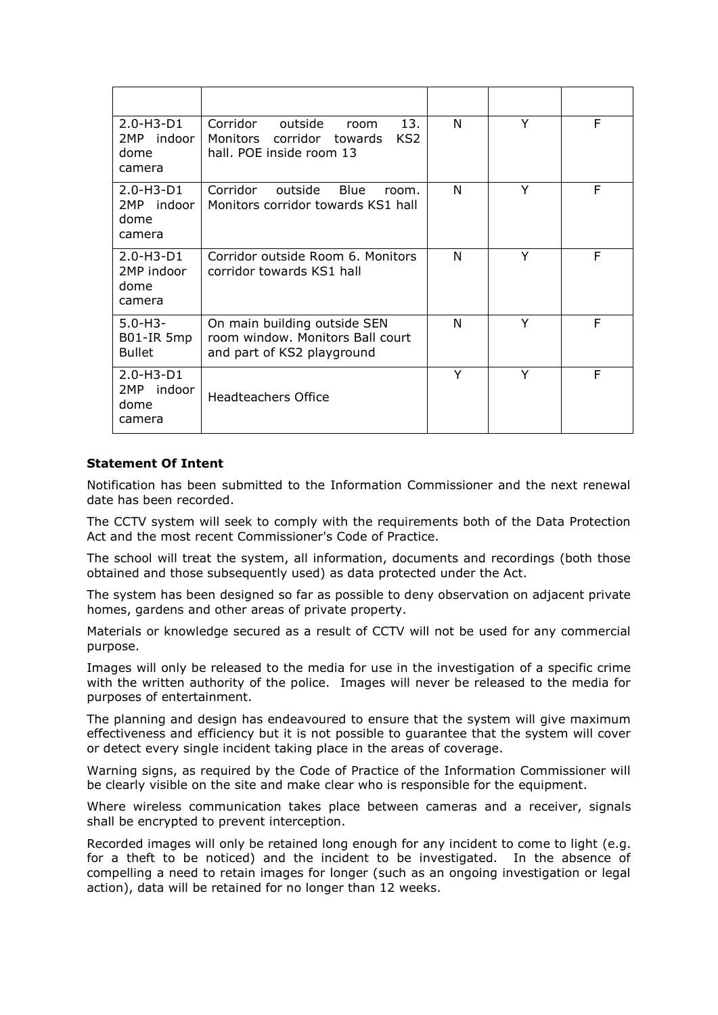| $2.0 - H3 - D1$<br>2MP indoor<br>dome<br>camera | 13.<br>Corridor<br>outside<br>room<br>Monitors corridor towards<br>KS <sub>2</sub><br>hall. POE inside room 13 | N | Y | F |
|-------------------------------------------------|----------------------------------------------------------------------------------------------------------------|---|---|---|
| $2.0 - H3 - D1$<br>2MP indoor<br>dome<br>camera | Corridor outside<br><b>Blue</b><br>room.<br>Monitors corridor towards KS1 hall                                 | N | Y | F |
| $2.0 - H3 - D1$<br>2MP indoor<br>dome<br>camera | Corridor outside Room 6. Monitors<br>corridor towards KS1 hall                                                 | N | Υ | F |
| $5.0 - H3 -$<br>B01-IR 5mp<br><b>Bullet</b>     | On main building outside SEN<br>room window. Monitors Ball court<br>and part of KS2 playground                 | N | Υ | F |
| $2.0 - H3 - D1$<br>2MP indoor<br>dome<br>camera | <b>Headteachers Office</b>                                                                                     | Y | Y | F |

#### **Statement Of Intent**

Notification has been submitted to the Information Commissioner and the next renewal date has been recorded.

The CCTV system will seek to comply with the requirements both of the Data Protection Act and the most recent Commissioner's Code of Practice.

The school will treat the system, all information, documents and recordings (both those obtained and those subsequently used) as data protected under the Act.

The system has been designed so far as possible to deny observation on adjacent private homes, gardens and other areas of private property.

Materials or knowledge secured as a result of CCTV will not be used for any commercial purpose.

Images will only be released to the media for use in the investigation of a specific crime with the written authority of the police. Images will never be released to the media for purposes of entertainment.

The planning and design has endeavoured to ensure that the system will give maximum effectiveness and efficiency but it is not possible to guarantee that the system will cover or detect every single incident taking place in the areas of coverage.

Warning signs, as required by the Code of Practice of the Information Commissioner will be clearly visible on the site and make clear who is responsible for the equipment.

Where wireless communication takes place between cameras and a receiver, signals shall be encrypted to prevent interception.

Recorded images will only be retained long enough for any incident to come to light (e.g. for a theft to be noticed) and the incident to be investigated. In the absence of compelling a need to retain images for longer (such as an ongoing investigation or legal action), data will be retained for no longer than 12 weeks.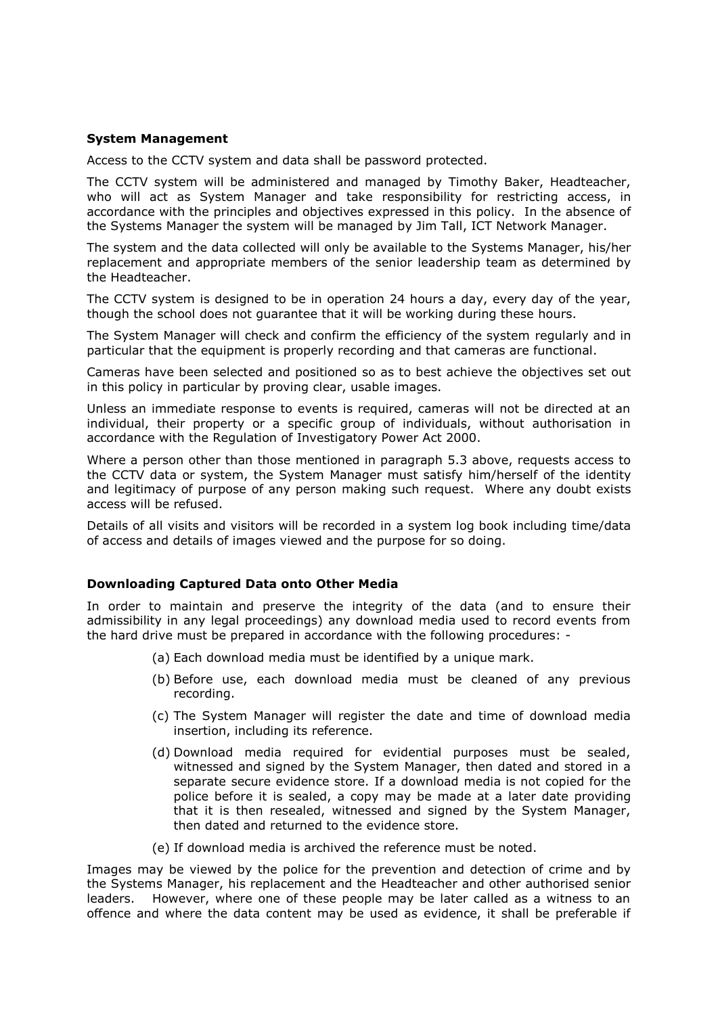#### **System Management**

Access to the CCTV system and data shall be password protected.

The CCTV system will be administered and managed by Timothy Baker, Headteacher, who will act as System Manager and take responsibility for restricting access, in accordance with the principles and objectives expressed in this policy. In the absence of the Systems Manager the system will be managed by Jim Tall, ICT Network Manager.

The system and the data collected will only be available to the Systems Manager, his/her replacement and appropriate members of the senior leadership team as determined by the Headteacher.

The CCTV system is designed to be in operation 24 hours a day, every day of the year, though the school does not guarantee that it will be working during these hours.

The System Manager will check and confirm the efficiency of the system regularly and in particular that the equipment is properly recording and that cameras are functional.

Cameras have been selected and positioned so as to best achieve the objectives set out in this policy in particular by proving clear, usable images.

Unless an immediate response to events is required, cameras will not be directed at an individual, their property or a specific group of individuals, without authorisation in accordance with the Regulation of Investigatory Power Act 2000.

Where a person other than those mentioned in paragraph 5.3 above, requests access to the CCTV data or system, the System Manager must satisfy him/herself of the identity and legitimacy of purpose of any person making such request. Where any doubt exists access will be refused.

Details of all visits and visitors will be recorded in a system log book including time/data of access and details of images viewed and the purpose for so doing.

#### **Downloading Captured Data onto Other Media**

In order to maintain and preserve the integrity of the data (and to ensure their admissibility in any legal proceedings) any download media used to record events from the hard drive must be prepared in accordance with the following procedures: -

- (a) Each download media must be identified by a unique mark.
- (b) Before use, each download media must be cleaned of any previous recording.
- (c) The System Manager will register the date and time of download media insertion, including its reference.
- (d) Download media required for evidential purposes must be sealed, witnessed and signed by the System Manager, then dated and stored in a separate secure evidence store. If a download media is not copied for the police before it is sealed, a copy may be made at a later date providing that it is then resealed, witnessed and signed by the System Manager, then dated and returned to the evidence store.
- (e) If download media is archived the reference must be noted.

Images may be viewed by the police for the prevention and detection of crime and by the Systems Manager, his replacement and the Headteacher and other authorised senior leaders. However, where one of these people may be later called as a witness to an offence and where the data content may be used as evidence, it shall be preferable if